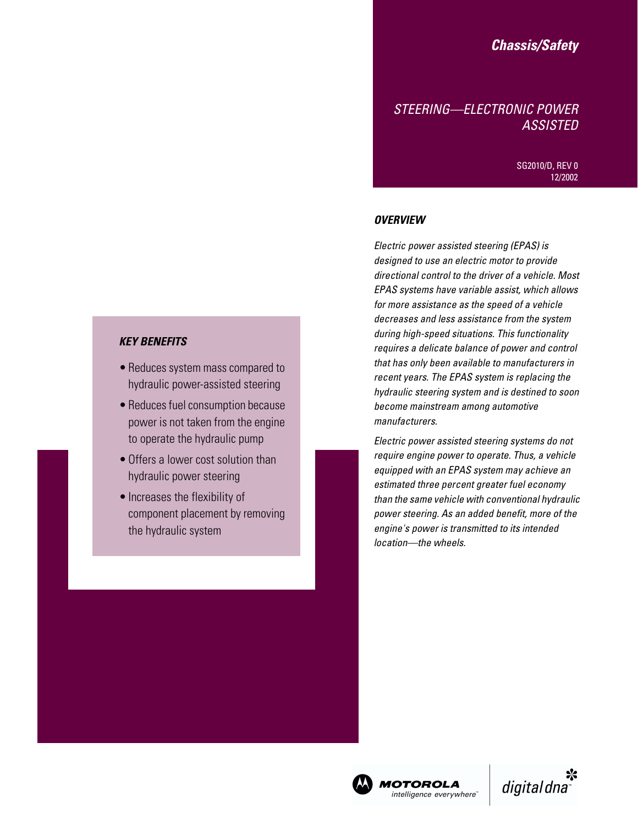# *Chassis/Safety*

# *STEERING—ELECTRONIC POWER ASSISTED*

SG2010/D, REV 0 12/2002

### *OVERVIEW*

*Electric power assisted steering (EPAS) is designed to use an electric motor to provide directional control to the driver of a vehicle. Most EPAS systems have variable assist, which allows for more assistance as the speed of a vehicle decreases and less assistance from the system during high-speed situations. This functionality requires a delicate balance of power and control that has only been available to manufacturers in recent years. The EPAS system is replacing the hydraulic steering system and is destined to soon become mainstream among automotive manufacturers.*

*Electric power assisted steering systems do not require engine power to operate. Thus, a vehicle equipped with an EPAS system may achieve an estimated three percent greater fuel economy than the same vehicle with conventional hydraulic power steering. As an added benefit, more of the engine's power is transmitted to its intended location—the wheels.*

## *KEY BENEFITS*

- Reduces system mass compared to hydraulic power-assisted steering
- Reduces fuel consumption because power is not taken from the engine to operate the hydraulic pump
- Offers a lower cost solution than hydraulic power steering
- Increases the flexibility of component placement by removing the hydraulic system



intelligence everywhere"

⋇ digital dna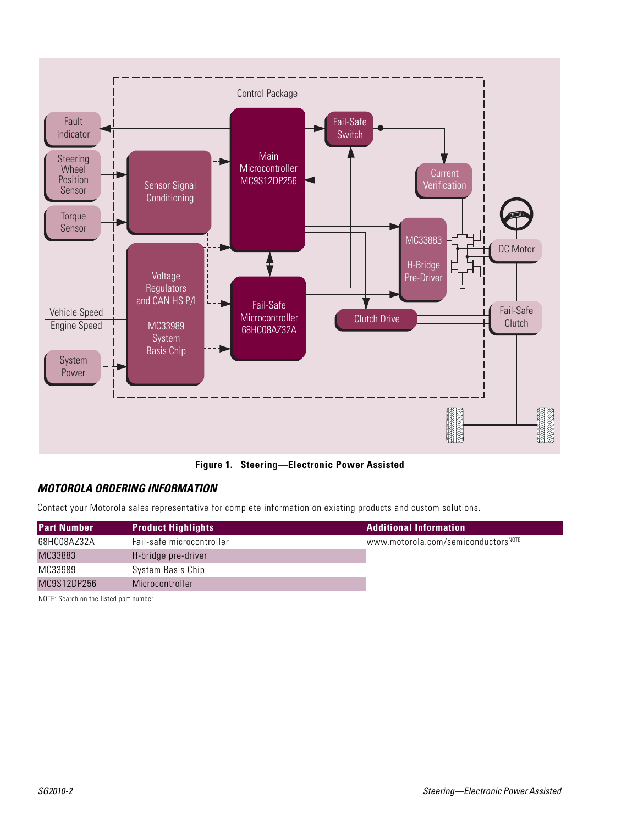

**Figure 1. Steering—Electronic Power Assisted**

## *MOTOROLA ORDERING INFORMATION*

Contact your Motorola sales representative for complete information on existing products and custom solutions.

| <b>Part Number</b> | <b>Product Highlights</b> | <b>Additional Information</b>       |
|--------------------|---------------------------|-------------------------------------|
| 68HC08AZ32A        | Fail-safe microcontroller | WWW.motorola.com/semiconductorsNOTE |
| MC33883            | H-bridge pre-driver       |                                     |
| MC33989            | System Basis Chip         |                                     |
| MC9S12DP256        | Microcontroller           |                                     |

NOTE: Search on the listed part number.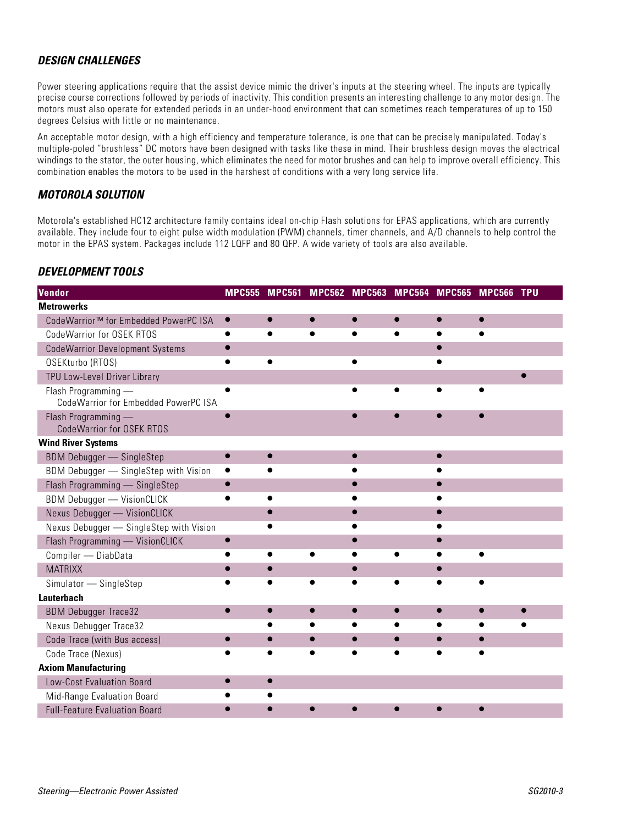## *DESIGN CHALLENGES*

Power steering applications require that the assist device mimic the driver's inputs at the steering wheel. The inputs are typically precise course corrections followed by periods of inactivity. This condition presents an interesting challenge to any motor design. The motors must also operate for extended periods in an under-hood environment that can sometimes reach temperatures of up to 150 degrees Celsius with little or no maintenance.

An acceptable motor design, with a high efficiency and temperature tolerance, is one that can be precisely manipulated. Today's multiple-poled "brushless" DC motors have been designed with tasks like these in mind. Their brushless design moves the electrical windings to the stator, the outer housing, which eliminates the need for motor brushes and can help to improve overall efficiency. This combination enables the motors to be used in the harshest of conditions with a very long service life.

### *MOTOROLA SOLUTION*

Motorola's established HC12 architecture family contains ideal on-chip Flash solutions for EPAS applications, which are currently available. They include four to eight pulse width modulation (PWM) channels, timer channels, and A/D channels to help control the motor in the EPAS system. Packages include 112 LQFP and 80 QFP. A wide variety of tools are also available.

### *DEVELOPMENT TOOLS*

| Vendor                                                      | <b>MPC555</b> | <b>MPC561</b> |           | <b>MPC562 MPC563</b> | <b>MPC564</b> | <b>MPC565</b> | <b>MPC566 TPU</b> |  |
|-------------------------------------------------------------|---------------|---------------|-----------|----------------------|---------------|---------------|-------------------|--|
| <b>Metrowerks</b>                                           |               |               |           |                      |               |               |                   |  |
| CodeWarrior™ for Embedded PowerPC ISA                       | $\bullet$     |               |           |                      |               |               |                   |  |
| CodeWarrior for OSEK RTOS                                   | $\bullet$     | $\bullet$     | $\bullet$ | $\bullet$            | $\bullet$     | $\bullet$     | $\bullet$         |  |
| <b>CodeWarrior Development Systems</b>                      | $\bullet$     |               |           |                      |               | $\bullet$     |                   |  |
| OSEKturbo (RTOS)                                            |               | $\bullet$     |           | $\bullet$            |               |               |                   |  |
| TPU Low-Level Driver Library                                |               |               |           |                      |               |               |                   |  |
| Flash Programming -<br>CodeWarrior for Embedded PowerPC ISA |               |               |           |                      |               |               |                   |  |
| Flash Programming -<br>Code Warrior for OSEK RTOS           |               |               |           |                      |               |               |                   |  |
| <b>Wind River Systems</b>                                   |               |               |           |                      |               |               |                   |  |
| <b>BDM Debugger - SingleStep</b>                            | $\bullet$     |               |           |                      |               |               |                   |  |
| BDM Debugger - SingleStep with Vision                       | $\bullet$     |               |           |                      |               |               |                   |  |
| Flash Programming - SingleStep                              |               |               |           |                      |               |               |                   |  |
| <b>BDM Debugger - VisionCLICK</b>                           |               |               |           |                      |               |               |                   |  |
| Nexus Debugger - VisionCLICK                                |               | $\bullet$     |           |                      |               |               |                   |  |
| Nexus Debugger - SingleStep with Vision                     |               |               |           |                      |               |               |                   |  |
| Flash Programming - VisionCLICK                             | $\bullet$     |               |           | $\bullet$            |               | $\bullet$     |                   |  |
| Compiler - DiabData                                         |               | $\bullet$     |           |                      |               |               |                   |  |
| <b>MATRIXX</b>                                              | $\bullet$     | 0             |           |                      |               |               |                   |  |
| $Simulator \longrightarrow SingleStep$                      |               |               |           |                      |               |               |                   |  |
| Lauterbach                                                  |               |               |           |                      |               |               |                   |  |
| <b>BDM Debugger Trace32</b>                                 | $\bullet$     |               |           |                      |               |               |                   |  |
| Nexus Debugger Trace32                                      |               |               |           |                      |               |               |                   |  |
| Code Trace (with Bus access)                                | $\bullet$     |               | $\bullet$ |                      |               |               | $\bullet$         |  |
| Code Trace (Nexus)                                          |               |               |           |                      |               |               |                   |  |
| <b>Axiom Manufacturing</b>                                  |               |               |           |                      |               |               |                   |  |
| Low-Cost Evaluation Board                                   |               | $\bullet$     |           |                      |               |               |                   |  |
| Mid-Range Evaluation Board                                  |               |               |           |                      |               |               |                   |  |
| <b>Full-Feature Evaluation Board</b>                        |               |               |           |                      |               |               |                   |  |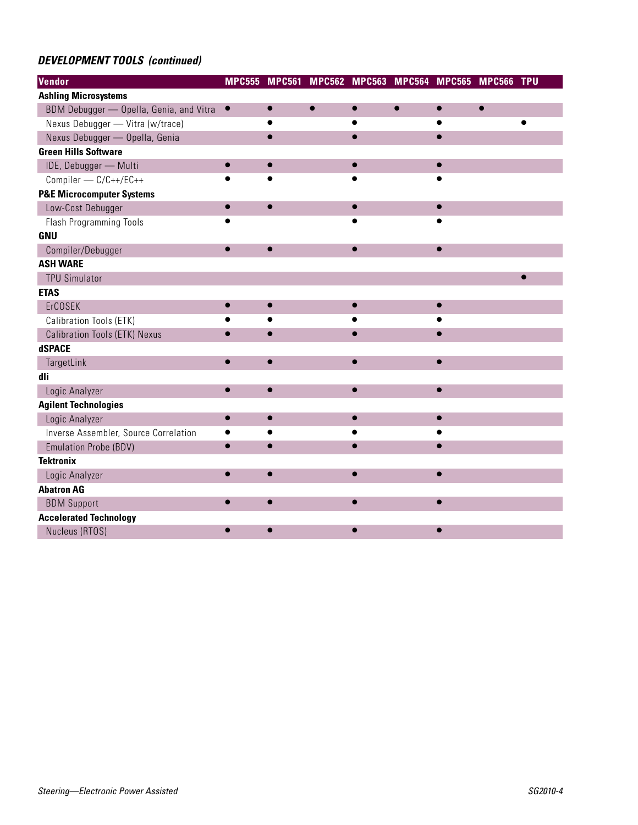# *DEVELOPMENT TOOLS (continued)*

| Vendor                                  | <b>MPC555</b> |           | MPC561 MPC562 MPC563 MPC564 MPC565 MPC566 TPU |           |           |           |           |
|-----------------------------------------|---------------|-----------|-----------------------------------------------|-----------|-----------|-----------|-----------|
| <b>Ashling Microsystems</b>             |               |           |                                               |           |           |           |           |
| BDM Debugger - Opella, Genia, and Vitra | $\bullet$     |           |                                               |           | $\bullet$ | $\bullet$ |           |
| Nexus Debugger - Vitra (w/trace)        |               |           |                                               |           |           |           | $\bullet$ |
| Nexus Debugger — Opella, Genia          |               | $\bullet$ |                                               | $\bullet$ | $\bullet$ |           |           |
| <b>Green Hills Software</b>             |               |           |                                               |           |           |           |           |
| IDE, Debugger - Multi                   | $\bullet$     | $\bullet$ |                                               | $\bullet$ | $\bullet$ |           |           |
| Compiler - C/C++/EC++                   |               |           |                                               |           |           |           |           |
| <b>P&amp;E Microcomputer Systems</b>    |               |           |                                               |           |           |           |           |
| Low-Cost Debugger                       |               |           |                                               |           |           |           |           |
| <b>Flash Programming Tools</b>          |               |           |                                               |           |           |           |           |
| <b>GNU</b>                              |               |           |                                               |           |           |           |           |
| Compiler/Debugger                       |               |           |                                               |           |           |           |           |
| <b>ASH WARE</b>                         |               |           |                                               |           |           |           |           |
| <b>TPU Simulator</b>                    |               |           |                                               |           |           |           |           |
| <b>ETAS</b>                             |               |           |                                               |           |           |           |           |
| ErCOSEK                                 |               | $\bullet$ |                                               | $\bullet$ | $\bullet$ |           |           |
| Calibration Tools (ETK)                 |               |           |                                               |           |           |           |           |
| Calibration Tools (ETK) Nexus           |               | $\bullet$ |                                               | $\bullet$ |           |           |           |
| dSPACE                                  |               |           |                                               |           |           |           |           |
| TargetLink                              |               |           |                                               |           |           |           |           |
| dli                                     |               |           |                                               |           |           |           |           |
| Logic Analyzer                          |               | $\bullet$ |                                               | $\bullet$ | $\bullet$ |           |           |
| <b>Agilent Technologies</b>             |               |           |                                               |           |           |           |           |
| Logic Analyzer                          |               |           |                                               |           |           |           |           |
| Inverse Assembler, Source Correlation   |               |           |                                               |           |           |           |           |
| <b>Emulation Probe (BDV)</b>            |               |           |                                               |           |           |           |           |
| <b>Tektronix</b>                        |               |           |                                               |           |           |           |           |
| Logic Analyzer                          |               |           |                                               |           |           |           |           |
| <b>Abatron AG</b>                       |               |           |                                               |           |           |           |           |
| <b>BDM Support</b>                      |               |           |                                               | $\bullet$ | $\bullet$ |           |           |
| <b>Accelerated Technology</b>           |               |           |                                               |           |           |           |           |
| Nucleus (RTOS)                          |               |           |                                               |           |           |           |           |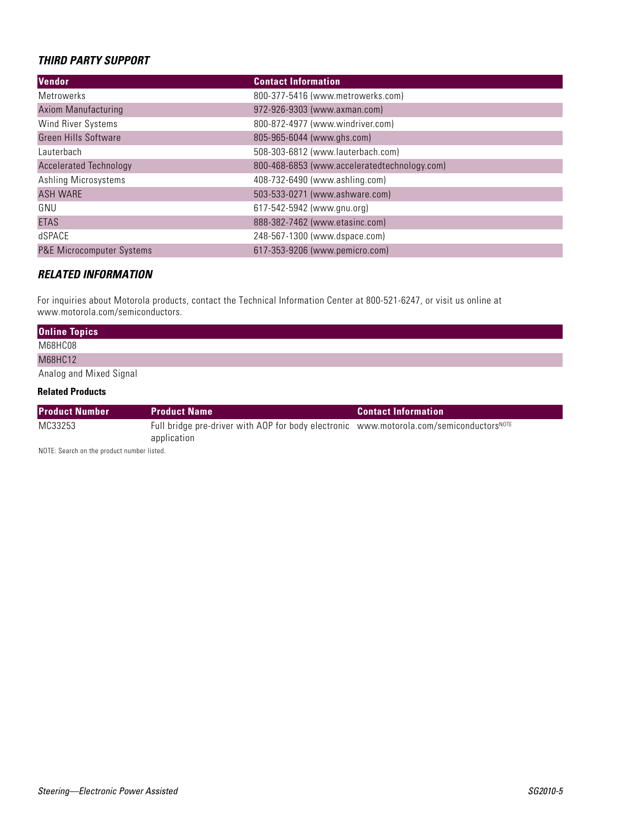## *THIRD PARTY SUPPORT*

| Vendor                        | <b>Contact Information</b>                   |
|-------------------------------|----------------------------------------------|
| Metrowerks                    | 800-377-5416 (www.metrowerks.com)            |
| <b>Axiom Manufacturing</b>    | 972-926-9303 (www.axman.com)                 |
| Wind River Systems            | 800-872-4977 (www.windriver.com)             |
| <b>Green Hills Software</b>   | 805-965-6044 (www.ghs.com)                   |
| Lauterbach                    | 508-303-6812 (www.lauterbach.com)            |
| <b>Accelerated Technology</b> | 800-468-6853 (www.acceleratedtechnology.com) |
| Ashling Microsystems          | 408-732-6490 (www.ashling.com)               |
| <b>ASH WARE</b>               | 503-533-0271 (www.ashware.com)               |
| GNU                           | 617-542-5942 (www.gnu.org)                   |
| <b>ETAS</b>                   | 888-382-7462 (www.etasinc.com)               |
| dSPACE                        | 248-567-1300 (www.dspace.com)                |
| P&E Microcomputer Systems     | 617-353-9206 (www.pemicro.com)               |

### *RELATED INFORMATION*

For inquiries about Motorola products, contact the Technical Information Center at 800-521-6247, or visit us online at www.motorola.com/semiconductors.

| <b>Online Topics</b>    |  |
|-------------------------|--|
| M68HC08                 |  |
| M68HC12                 |  |
| Analog and Mixed Signal |  |

### **Related Products**

| <b>Product Number</b> | <b>Product Name</b>                                                                           | <b>Contact Information</b> |
|-----------------------|-----------------------------------------------------------------------------------------------|----------------------------|
| MC33253               | Full bridge pre-driver with AOP for body electronic www.motorola.com/semiconductors $^{NOTE}$ |                            |
|                       | application                                                                                   |                            |

NOTE: Search on the product number listed.